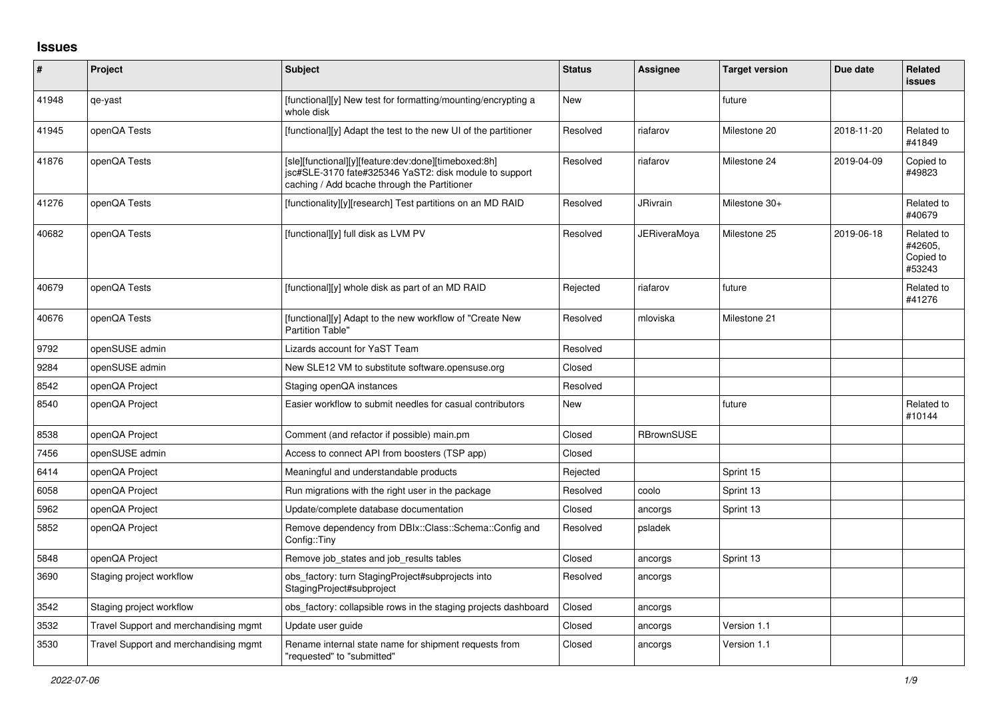## **Issues**

| #     | Project                               | <b>Subject</b>                                                                                                                                                 | <b>Status</b> | <b>Assignee</b>   | <b>Target version</b> | Due date   | Related<br>issues                            |
|-------|---------------------------------------|----------------------------------------------------------------------------------------------------------------------------------------------------------------|---------------|-------------------|-----------------------|------------|----------------------------------------------|
| 41948 | qe-yast                               | [functional][y] New test for formatting/mounting/encrypting a<br>whole disk                                                                                    | New           |                   | future                |            |                                              |
| 41945 | openQA Tests                          | [functional][y] Adapt the test to the new UI of the partitioner                                                                                                | Resolved      | riafarov          | Milestone 20          | 2018-11-20 | Related to<br>#41849                         |
| 41876 | openQA Tests                          | [sle][functional][y][feature:dev:done][timeboxed:8h]<br>jsc#SLE-3170 fate#325346 YaST2: disk module to support<br>caching / Add bcache through the Partitioner | Resolved      | riafarov          | Milestone 24          | 2019-04-09 | Copied to<br>#49823                          |
| 41276 | openQA Tests                          | [functionality][y][research] Test partitions on an MD RAID                                                                                                     | Resolved      | JRivrain          | Milestone 30+         |            | Related to<br>#40679                         |
| 40682 | openQA Tests                          | [functional][y] full disk as LVM PV                                                                                                                            | Resolved      | JERiveraMoya      | Milestone 25          | 2019-06-18 | Related to<br>#42605.<br>Copied to<br>#53243 |
| 40679 | openQA Tests                          | [functional][y] whole disk as part of an MD RAID                                                                                                               | Rejected      | riafarov          | future                |            | Related to<br>#41276                         |
| 40676 | openQA Tests                          | [functional][y] Adapt to the new workflow of "Create New<br><b>Partition Table"</b>                                                                            | Resolved      | mloviska          | Milestone 21          |            |                                              |
| 9792  | openSUSE admin                        | Lizards account for YaST Team                                                                                                                                  | Resolved      |                   |                       |            |                                              |
| 9284  | openSUSE admin                        | New SLE12 VM to substitute software.opensuse.org                                                                                                               | Closed        |                   |                       |            |                                              |
| 8542  | openQA Project                        | Staging openQA instances                                                                                                                                       | Resolved      |                   |                       |            |                                              |
| 8540  | openQA Project                        | Easier workflow to submit needles for casual contributors                                                                                                      | New           |                   | future                |            | Related to<br>#10144                         |
| 8538  | openQA Project                        | Comment (and refactor if possible) main.pm                                                                                                                     | Closed        | <b>RBrownSUSE</b> |                       |            |                                              |
| 7456  | openSUSE admin                        | Access to connect API from boosters (TSP app)                                                                                                                  | Closed        |                   |                       |            |                                              |
| 6414  | openQA Project                        | Meaningful and understandable products                                                                                                                         | Rejected      |                   | Sprint 15             |            |                                              |
| 6058  | openQA Project                        | Run migrations with the right user in the package                                                                                                              | Resolved      | coolo             | Sprint 13             |            |                                              |
| 5962  | openQA Project                        | Update/complete database documentation                                                                                                                         | Closed        | ancorgs           | Sprint 13             |            |                                              |
| 5852  | openQA Project                        | Remove dependency from DBIx::Class::Schema::Config and<br>Config::Tiny                                                                                         | Resolved      | psladek           |                       |            |                                              |
| 5848  | openQA Project                        | Remove job states and job results tables                                                                                                                       | Closed        | ancorgs           | Sprint 13             |            |                                              |
| 3690  | Staging project workflow              | obs_factory: turn StagingProject#subprojects into<br>StagingProject#subproject                                                                                 | Resolved      | ancorgs           |                       |            |                                              |
| 3542  | Staging project workflow              | obs_factory: collapsible rows in the staging projects dashboard                                                                                                | Closed        | ancorgs           |                       |            |                                              |
| 3532  | Travel Support and merchandising mgmt | Update user guide                                                                                                                                              | Closed        | ancorgs           | Version 1.1           |            |                                              |
| 3530  | Travel Support and merchandising mgmt | Rename internal state name for shipment requests from<br>"requested" to "submitted"                                                                            | Closed        | ancorgs           | Version 1.1           |            |                                              |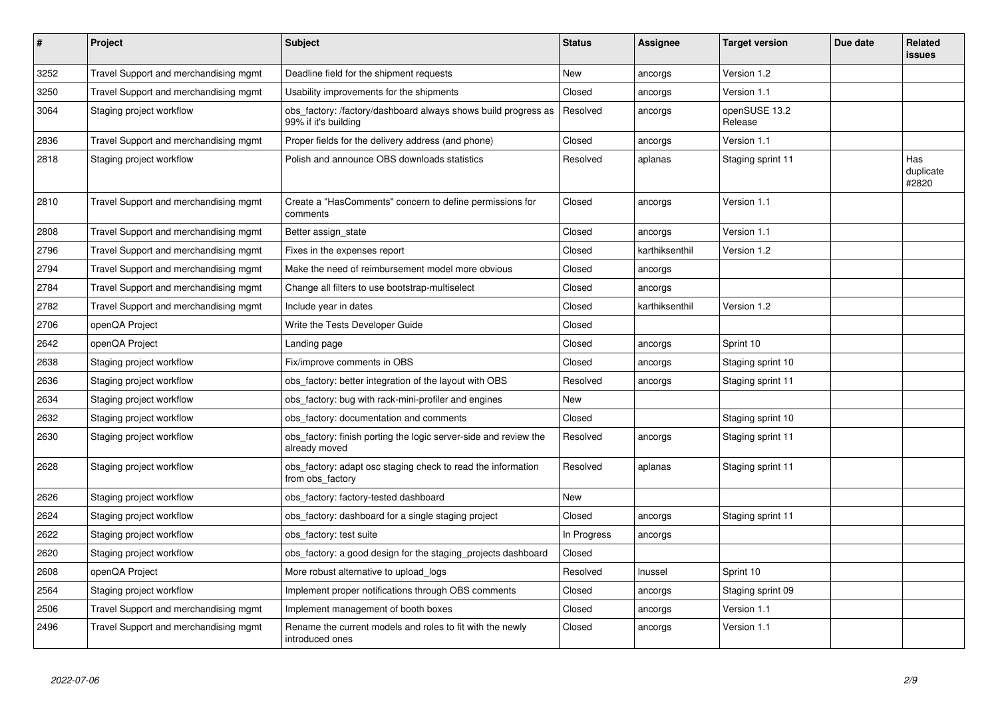| $\pmb{\#}$ | Project                               | <b>Subject</b>                                                                         | <b>Status</b> | Assignee       | <b>Target version</b>    | Due date | <b>Related</b><br><b>issues</b> |
|------------|---------------------------------------|----------------------------------------------------------------------------------------|---------------|----------------|--------------------------|----------|---------------------------------|
| 3252       | Travel Support and merchandising mgmt | Deadline field for the shipment requests                                               | <b>New</b>    | ancorgs        | Version 1.2              |          |                                 |
| 3250       | Travel Support and merchandising mgmt | Usability improvements for the shipments                                               | Closed        | ancorgs        | Version 1.1              |          |                                 |
| 3064       | Staging project workflow              | obs_factory: /factory/dashboard always shows build progress as<br>99% if it's building | Resolved      | ancorgs        | openSUSE 13.2<br>Release |          |                                 |
| 2836       | Travel Support and merchandising mgmt | Proper fields for the delivery address (and phone)                                     | Closed        | ancorgs        | Version 1.1              |          |                                 |
| 2818       | Staging project workflow              | Polish and announce OBS downloads statistics                                           | Resolved      | aplanas        | Staging sprint 11        |          | Has<br>duplicate<br>#2820       |
| 2810       | Travel Support and merchandising mgmt | Create a "HasComments" concern to define permissions for<br>comments                   | Closed        | ancorgs        | Version 1.1              |          |                                 |
| 2808       | Travel Support and merchandising mgmt | Better assign state                                                                    | Closed        | ancorgs        | Version 1.1              |          |                                 |
| 2796       | Travel Support and merchandising mgmt | Fixes in the expenses report                                                           | Closed        | karthiksenthil | Version 1.2              |          |                                 |
| 2794       | Travel Support and merchandising mgmt | Make the need of reimbursement model more obvious                                      | Closed        | ancorgs        |                          |          |                                 |
| 2784       | Travel Support and merchandising mgmt | Change all filters to use bootstrap-multiselect                                        | Closed        | ancorgs        |                          |          |                                 |
| 2782       | Travel Support and merchandising mgmt | Include year in dates                                                                  | Closed        | karthiksenthil | Version 1.2              |          |                                 |
| 2706       | openQA Project                        | Write the Tests Developer Guide                                                        | Closed        |                |                          |          |                                 |
| 2642       | openQA Project                        | Landing page                                                                           | Closed        | ancorgs        | Sprint 10                |          |                                 |
| 2638       | Staging project workflow              | Fix/improve comments in OBS                                                            | Closed        | ancorgs        | Staging sprint 10        |          |                                 |
| 2636       | Staging project workflow              | obs factory: better integration of the layout with OBS                                 | Resolved      | ancorgs        | Staging sprint 11        |          |                                 |
| 2634       | Staging project workflow              | obs_factory: bug with rack-mini-profiler and engines                                   | <b>New</b>    |                |                          |          |                                 |
| 2632       | Staging project workflow              | obs factory: documentation and comments                                                | Closed        |                | Staging sprint 10        |          |                                 |
| 2630       | Staging project workflow              | obs factory: finish porting the logic server-side and review the<br>already moved      | Resolved      | ancorgs        | Staging sprint 11        |          |                                 |
| 2628       | Staging project workflow              | obs factory: adapt osc staging check to read the information<br>from obs factory       | Resolved      | aplanas        | Staging sprint 11        |          |                                 |
| 2626       | Staging project workflow              | obs factory: factory-tested dashboard                                                  | New           |                |                          |          |                                 |
| 2624       | Staging project workflow              | obs_factory: dashboard for a single staging project                                    | Closed        | ancorgs        | Staging sprint 11        |          |                                 |
| 2622       | Staging project workflow              | obs factory: test suite                                                                | In Progress   | ancorgs        |                          |          |                                 |
| 2620       | Staging project workflow              | obs factory: a good design for the staging projects dashboard                          | Closed        |                |                          |          |                                 |
| 2608       | openQA Project                        | More robust alternative to upload logs                                                 | Resolved      | Inussel        | Sprint 10                |          |                                 |
| 2564       | Staging project workflow              | Implement proper notifications through OBS comments                                    | Closed        | ancorgs        | Staging sprint 09        |          |                                 |
| 2506       | Travel Support and merchandising mgmt | Implement management of booth boxes                                                    | Closed        | ancorgs        | Version 1.1              |          |                                 |
| 2496       | Travel Support and merchandising mgmt | Rename the current models and roles to fit with the newly<br>introduced ones           | Closed        | ancorgs        | Version 1.1              |          |                                 |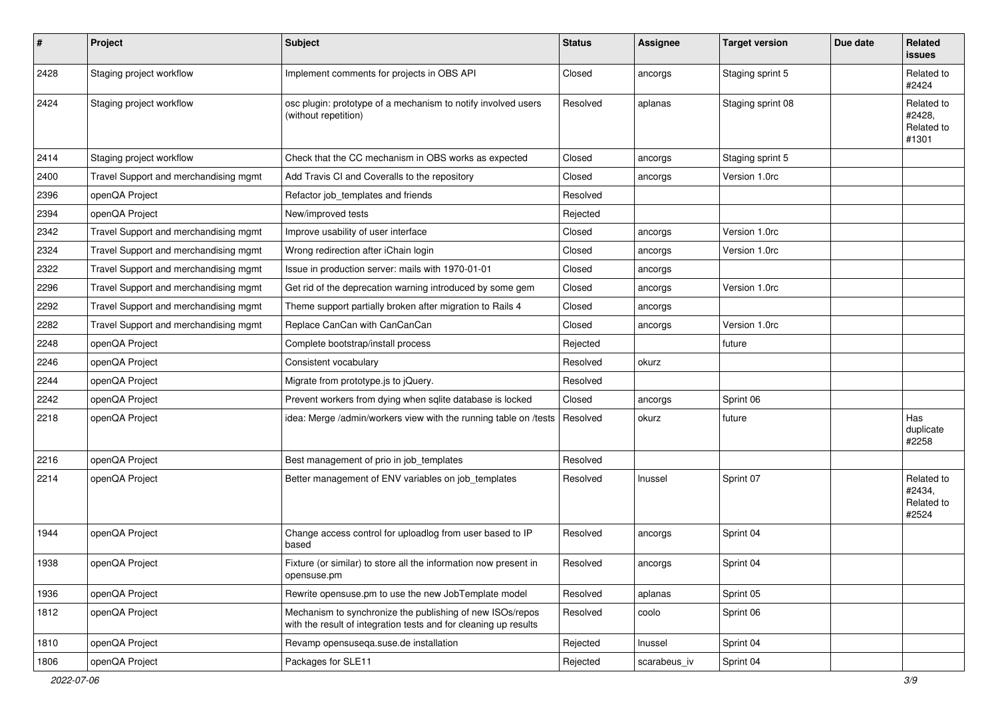| $\sharp$ | Project                               | <b>Subject</b>                                                                                                                | <b>Status</b> | <b>Assignee</b> | <b>Target version</b> | Due date | Related<br>issues                           |
|----------|---------------------------------------|-------------------------------------------------------------------------------------------------------------------------------|---------------|-----------------|-----------------------|----------|---------------------------------------------|
| 2428     | Staging project workflow              | Implement comments for projects in OBS API                                                                                    | Closed        | ancorgs         | Staging sprint 5      |          | Related to<br>#2424                         |
| 2424     | Staging project workflow              | osc plugin: prototype of a mechanism to notify involved users<br>(without repetition)                                         | Resolved      | aplanas         | Staging sprint 08     |          | Related to<br>#2428,<br>Related to<br>#1301 |
| 2414     | Staging project workflow              | Check that the CC mechanism in OBS works as expected                                                                          | Closed        | ancorgs         | Staging sprint 5      |          |                                             |
| 2400     | Travel Support and merchandising mgmt | Add Travis CI and Coveralls to the repository                                                                                 | Closed        | ancorgs         | Version 1.0rc         |          |                                             |
| 2396     | openQA Project                        | Refactor job_templates and friends                                                                                            | Resolved      |                 |                       |          |                                             |
| 2394     | openQA Project                        | New/improved tests                                                                                                            | Rejected      |                 |                       |          |                                             |
| 2342     | Travel Support and merchandising mgmt | Improve usability of user interface                                                                                           | Closed        | ancorgs         | Version 1.0rc         |          |                                             |
| 2324     | Travel Support and merchandising mgmt | Wrong redirection after iChain login                                                                                          | Closed        | ancorgs         | Version 1.0rc         |          |                                             |
| 2322     | Travel Support and merchandising mgmt | Issue in production server: mails with 1970-01-01                                                                             | Closed        | ancorgs         |                       |          |                                             |
| 2296     | Travel Support and merchandising mgmt | Get rid of the deprecation warning introduced by some gem                                                                     | Closed        | ancorgs         | Version 1.0rc         |          |                                             |
| 2292     | Travel Support and merchandising mgmt | Theme support partially broken after migration to Rails 4                                                                     | Closed        | ancorgs         |                       |          |                                             |
| 2282     | Travel Support and merchandising mgmt | Replace CanCan with CanCanCan                                                                                                 | Closed        | ancorgs         | Version 1.0rc         |          |                                             |
| 2248     | openQA Project                        | Complete bootstrap/install process                                                                                            | Rejected      |                 | future                |          |                                             |
| 2246     | openQA Project                        | Consistent vocabulary                                                                                                         | Resolved      | okurz           |                       |          |                                             |
| 2244     | openQA Project                        | Migrate from prototype.js to jQuery.                                                                                          | Resolved      |                 |                       |          |                                             |
| 2242     | openQA Project                        | Prevent workers from dying when sqlite database is locked                                                                     | Closed        | ancorgs         | Sprint 06             |          |                                             |
| 2218     | openQA Project                        | idea: Merge /admin/workers view with the running table on /tests                                                              | Resolved      | okurz           | future                |          | Has<br>duplicate<br>#2258                   |
| 2216     | openQA Project                        | Best management of prio in job_templates                                                                                      | Resolved      |                 |                       |          |                                             |
| 2214     | openQA Project                        | Better management of ENV variables on job_templates                                                                           | Resolved      | Inussel         | Sprint 07             |          | Related to<br>#2434,<br>Related to<br>#2524 |
| 1944     | openQA Project                        | Change access control for uploadlog from user based to IP<br>based                                                            | Resolved      | ancorgs         | Sprint 04             |          |                                             |
| 1938     | openQA Project                        | Fixture (or similar) to store all the information now present in<br>opensuse.pm                                               | Resolved      | ancorgs         | Sprint 04             |          |                                             |
| 1936     | openQA Project                        | Rewrite opensuse.pm to use the new JobTemplate model                                                                          | Resolved      | aplanas         | Sprint 05             |          |                                             |
| 1812     | openQA Project                        | Mechanism to synchronize the publishing of new ISOs/repos<br>with the result of integration tests and for cleaning up results | Resolved      | coolo           | Sprint 06             |          |                                             |
| 1810     | openQA Project                        | Revamp opensusega.suse.de installation                                                                                        | Rejected      | Inussel         | Sprint 04             |          |                                             |
| 1806     | openQA Project                        | Packages for SLE11                                                                                                            | Rejected      | scarabeus_iv    | Sprint 04             |          |                                             |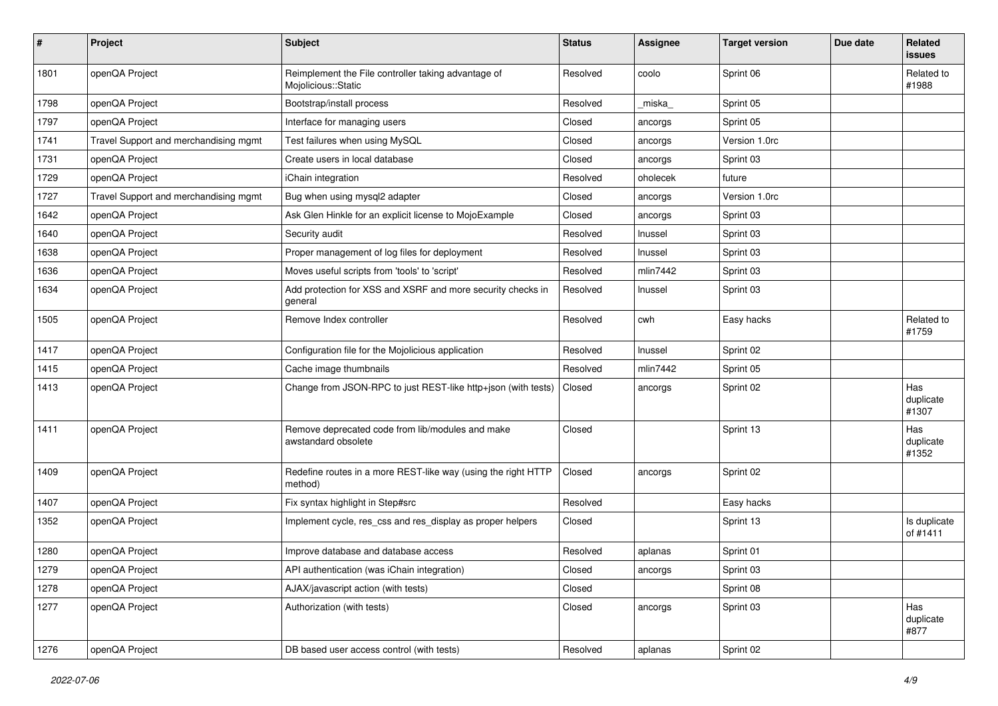| #    | Project                               | <b>Subject</b>                                                             | <b>Status</b> | <b>Assignee</b> | <b>Target version</b> | Due date | Related<br>issues         |
|------|---------------------------------------|----------------------------------------------------------------------------|---------------|-----------------|-----------------------|----------|---------------------------|
| 1801 | openQA Project                        | Reimplement the File controller taking advantage of<br>Mojolicious::Static | Resolved      | coolo           | Sprint 06             |          | Related to<br>#1988       |
| 1798 | openQA Project                        | Bootstrap/install process                                                  | Resolved      | miska           | Sprint 05             |          |                           |
| 1797 | openQA Project                        | Interface for managing users                                               | Closed        | ancorgs         | Sprint 05             |          |                           |
| 1741 | Travel Support and merchandising mgmt | Test failures when using MySQL                                             | Closed        | ancorgs         | Version 1.0rc         |          |                           |
| 1731 | openQA Project                        | Create users in local database                                             | Closed        | ancorgs         | Sprint 03             |          |                           |
| 1729 | openQA Project                        | iChain integration                                                         | Resolved      | oholecek        | future                |          |                           |
| 1727 | Travel Support and merchandising mgmt | Bug when using mysql2 adapter                                              | Closed        | ancorgs         | Version 1.0rc         |          |                           |
| 1642 | openQA Project                        | Ask Glen Hinkle for an explicit license to MojoExample                     | Closed        | ancorgs         | Sprint 03             |          |                           |
| 1640 | openQA Project                        | Security audit                                                             | Resolved      | Inussel         | Sprint 03             |          |                           |
| 1638 | openQA Project                        | Proper management of log files for deployment                              | Resolved      | Inussel         | Sprint 03             |          |                           |
| 1636 | openQA Project                        | Moves useful scripts from 'tools' to 'script'                              | Resolved      | mlin7442        | Sprint 03             |          |                           |
| 1634 | openQA Project                        | Add protection for XSS and XSRF and more security checks in<br>general     | Resolved      | Inussel         | Sprint 03             |          |                           |
| 1505 | openQA Project                        | Remove Index controller                                                    | Resolved      | cwh             | Easy hacks            |          | Related to<br>#1759       |
| 1417 | openQA Project                        | Configuration file for the Mojolicious application                         | Resolved      | Inussel         | Sprint 02             |          |                           |
| 1415 | openQA Project                        | Cache image thumbnails                                                     | Resolved      | min7442         | Sprint 05             |          |                           |
| 1413 | openQA Project                        | Change from JSON-RPC to just REST-like http+json (with tests)              | Closed        | ancorgs         | Sprint 02             |          | Has<br>duplicate<br>#1307 |
| 1411 | openQA Project                        | Remove deprecated code from lib/modules and make<br>awstandard obsolete    | Closed        |                 | Sprint 13             |          | Has<br>duplicate<br>#1352 |
| 1409 | openQA Project                        | Redefine routes in a more REST-like way (using the right HTTP<br>method)   | Closed        | ancorgs         | Sprint 02             |          |                           |
| 1407 | openQA Project                        | Fix syntax highlight in Step#src                                           | Resolved      |                 | Easy hacks            |          |                           |
| 1352 | openQA Project                        | Implement cycle, res_css and res_display as proper helpers                 | Closed        |                 | Sprint 13             |          | Is duplicate<br>of #1411  |
| 1280 | openQA Project                        | Improve database and database access                                       | Resolved      | aplanas         | Sprint 01             |          |                           |
| 1279 | openQA Project                        | API authentication (was iChain integration)                                | Closed        | ancorgs         | Sprint 03             |          |                           |
| 1278 | openQA Project                        | AJAX/javascript action (with tests)                                        | Closed        |                 | Sprint 08             |          |                           |
| 1277 | openQA Project                        | Authorization (with tests)                                                 | Closed        | ancorgs         | Sprint 03             |          | Has<br>duplicate<br>#877  |
| 1276 | openQA Project                        | DB based user access control (with tests)                                  | Resolved      | aplanas         | Sprint 02             |          |                           |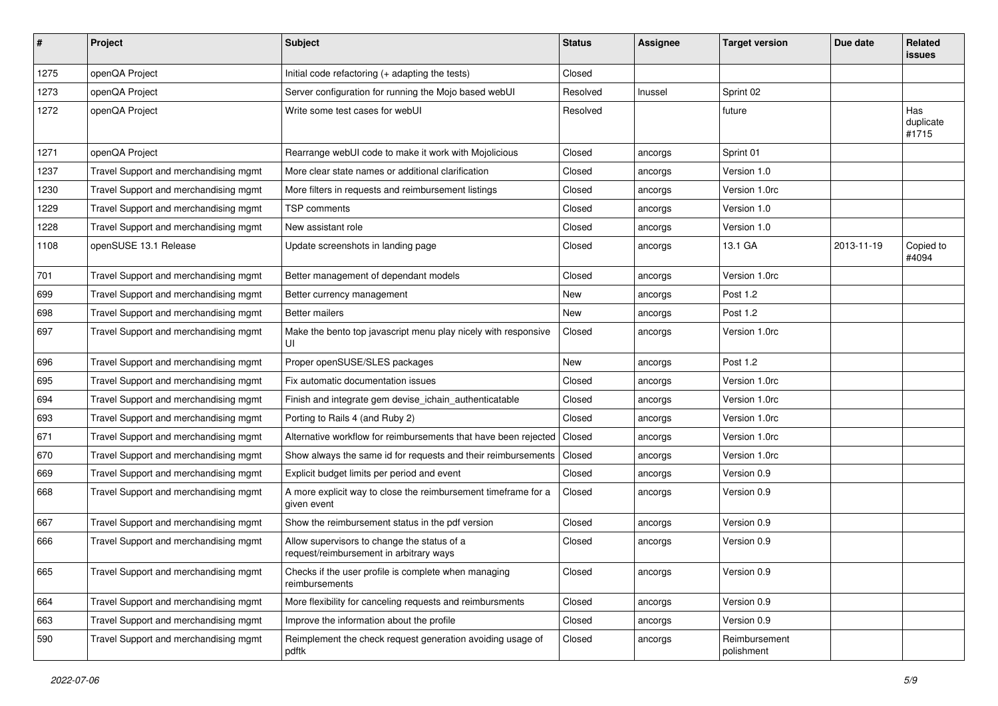| #    | Project                               | <b>Subject</b>                                                                         | <b>Status</b> | <b>Assignee</b> | <b>Target version</b>       | Due date   | Related<br>issues         |
|------|---------------------------------------|----------------------------------------------------------------------------------------|---------------|-----------------|-----------------------------|------------|---------------------------|
| 1275 | openQA Project                        | Initial code refactoring (+ adapting the tests)                                        | Closed        |                 |                             |            |                           |
| 1273 | openQA Project                        | Server configuration for running the Mojo based webUI                                  | Resolved      | Inussel         | Sprint 02                   |            |                           |
| 1272 | openQA Project                        | Write some test cases for webUI                                                        | Resolved      |                 | future                      |            | Has<br>duplicate<br>#1715 |
| 1271 | openQA Project                        | Rearrange webUI code to make it work with Mojolicious                                  | Closed        | ancorgs         | Sprint 01                   |            |                           |
| 1237 | Travel Support and merchandising mgmt | More clear state names or additional clarification                                     | Closed        | ancorgs         | Version 1.0                 |            |                           |
| 1230 | Travel Support and merchandising mgmt | More filters in requests and reimbursement listings                                    | Closed        | ancorgs         | Version 1.0rc               |            |                           |
| 1229 | Travel Support and merchandising mgmt | TSP comments                                                                           | Closed        | ancorgs         | Version 1.0                 |            |                           |
| 1228 | Travel Support and merchandising mgmt | New assistant role                                                                     | Closed        | ancorgs         | Version 1.0                 |            |                           |
| 1108 | openSUSE 13.1 Release                 | Update screenshots in landing page                                                     | Closed        | ancorgs         | 13.1 GA                     | 2013-11-19 | Copied to<br>#4094        |
| 701  | Travel Support and merchandising mgmt | Better management of dependant models                                                  | Closed        | ancorgs         | Version 1.0rc               |            |                           |
| 699  | Travel Support and merchandising mgmt | Better currency management                                                             | New           | ancorgs         | Post 1.2                    |            |                           |
| 698  | Travel Support and merchandising mgmt | <b>Better mailers</b>                                                                  | New           | ancorgs         | Post 1.2                    |            |                           |
| 697  | Travel Support and merchandising mgmt | Make the bento top javascript menu play nicely with responsive<br>UI                   | Closed        | ancorgs         | Version 1.0rc               |            |                           |
| 696  | Travel Support and merchandising mgmt | Proper openSUSE/SLES packages                                                          | New           | ancorgs         | Post 1.2                    |            |                           |
| 695  | Travel Support and merchandising mgmt | Fix automatic documentation issues                                                     | Closed        | ancorgs         | Version 1.0rc               |            |                           |
| 694  | Travel Support and merchandising mgmt | Finish and integrate gem devise_ichain_authenticatable                                 | Closed        | ancorgs         | Version 1.0rc               |            |                           |
| 693  | Travel Support and merchandising mgmt | Porting to Rails 4 (and Ruby 2)                                                        | Closed        | ancorgs         | Version 1.0rc               |            |                           |
| 671  | Travel Support and merchandising mgmt | Alternative workflow for reimbursements that have been rejected                        | Closed        | ancorgs         | Version 1.0rc               |            |                           |
| 670  | Travel Support and merchandising mgmt | Show always the same id for requests and their reimbursements                          | Closed        | ancorgs         | Version 1.0rc               |            |                           |
| 669  | Travel Support and merchandising mgmt | Explicit budget limits per period and event                                            | Closed        | ancorgs         | Version 0.9                 |            |                           |
| 668  | Travel Support and merchandising mgmt | A more explicit way to close the reimbursement timeframe for a<br>given event          | Closed        | ancorgs         | Version 0.9                 |            |                           |
| 667  | Travel Support and merchandising mgmt | Show the reimbursement status in the pdf version                                       | Closed        | ancorgs         | Version 0.9                 |            |                           |
| 666  | Travel Support and merchandising mgmt | Allow supervisors to change the status of a<br>request/reimbursement in arbitrary ways | Closed        | ancorgs         | Version 0.9                 |            |                           |
| 665  | Travel Support and merchandising mgmt | Checks if the user profile is complete when managing<br>reimbursements                 | Closed        | ancorgs         | Version 0.9                 |            |                           |
| 664  | Travel Support and merchandising mgmt | More flexibility for canceling requests and reimbursments                              | Closed        | ancorgs         | Version 0.9                 |            |                           |
| 663  | Travel Support and merchandising mgmt | Improve the information about the profile                                              | Closed        | ancorgs         | Version 0.9                 |            |                           |
| 590  | Travel Support and merchandising mgmt | Reimplement the check request generation avoiding usage of<br>pdftk                    | Closed        | ancorgs         | Reimbursement<br>polishment |            |                           |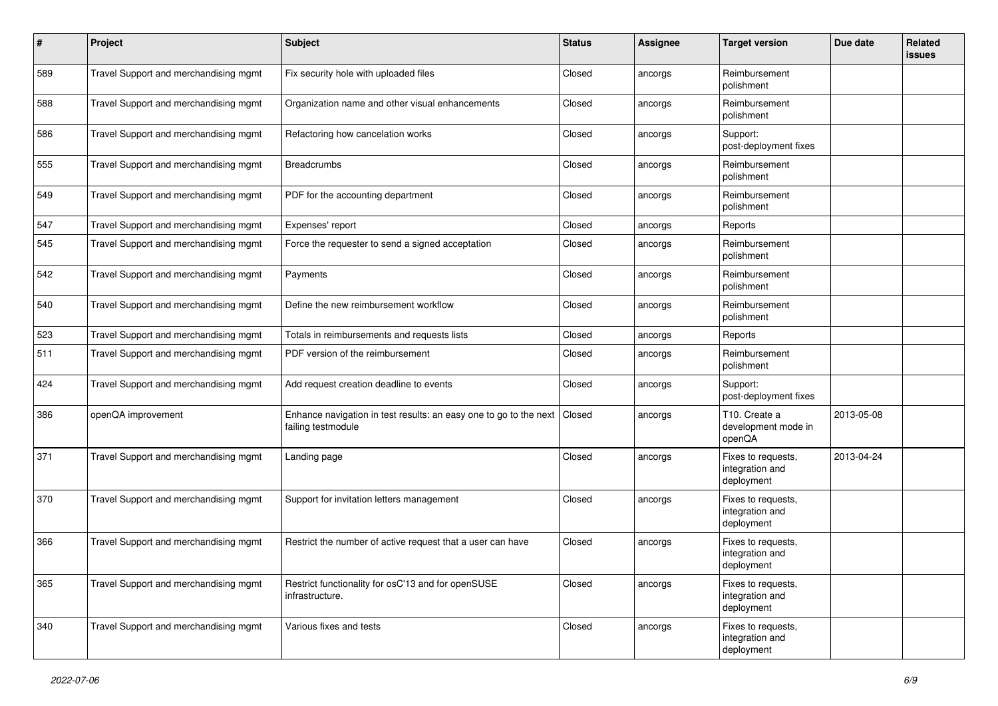| #   | Project                               | Subject                                                                                 | <b>Status</b> | <b>Assignee</b> | <b>Target version</b>                               | Due date   | Related<br>issues |
|-----|---------------------------------------|-----------------------------------------------------------------------------------------|---------------|-----------------|-----------------------------------------------------|------------|-------------------|
| 589 | Travel Support and merchandising mgmt | Fix security hole with uploaded files                                                   | Closed        | ancorgs         | Reimbursement<br>polishment                         |            |                   |
| 588 | Travel Support and merchandising mgmt | Organization name and other visual enhancements                                         | Closed        | ancorgs         | Reimbursement<br>polishment                         |            |                   |
| 586 | Travel Support and merchandising mgmt | Refactoring how cancelation works                                                       | Closed        | ancorgs         | Support:<br>post-deployment fixes                   |            |                   |
| 555 | Travel Support and merchandising mgmt | <b>Breadcrumbs</b>                                                                      | Closed        | ancorgs         | Reimbursement<br>polishment                         |            |                   |
| 549 | Travel Support and merchandising mgmt | PDF for the accounting department                                                       | Closed        | ancorgs         | Reimbursement<br>polishment                         |            |                   |
| 547 | Travel Support and merchandising mgmt | Expenses' report                                                                        | Closed        | ancorgs         | Reports                                             |            |                   |
| 545 | Travel Support and merchandising mgmt | Force the requester to send a signed acceptation                                        | Closed        | ancorgs         | Reimbursement<br>polishment                         |            |                   |
| 542 | Travel Support and merchandising mgmt | Payments                                                                                | Closed        | ancorgs         | Reimbursement<br>polishment                         |            |                   |
| 540 | Travel Support and merchandising mgmt | Define the new reimbursement workflow                                                   | Closed        | ancorgs         | Reimbursement<br>polishment                         |            |                   |
| 523 | Travel Support and merchandising mgmt | Totals in reimbursements and requests lists                                             | Closed        | ancorgs         | Reports                                             |            |                   |
| 511 | Travel Support and merchandising mgmt | PDF version of the reimbursement                                                        | Closed        | ancorgs         | Reimbursement<br>polishment                         |            |                   |
| 424 | Travel Support and merchandising mgmt | Add request creation deadline to events                                                 | Closed        | ancorgs         | Support:<br>post-deployment fixes                   |            |                   |
| 386 | openQA improvement                    | Enhance navigation in test results: an easy one to go to the next<br>failing testmodule | Closed        | ancorgs         | T10. Create a<br>development mode in<br>openQA      | 2013-05-08 |                   |
| 371 | Travel Support and merchandising mgmt | Landing page                                                                            | Closed        | ancorgs         | Fixes to requests,<br>integration and<br>deployment | 2013-04-24 |                   |
| 370 | Travel Support and merchandising mgmt | Support for invitation letters management                                               | Closed        | ancorgs         | Fixes to requests,<br>integration and<br>deployment |            |                   |
| 366 | Travel Support and merchandising mgmt | Restrict the number of active request that a user can have                              | Closed        | ancorgs         | Fixes to requests,<br>integration and<br>deployment |            |                   |
| 365 | Travel Support and merchandising mgmt | Restrict functionality for osC'13 and for openSUSE<br>infrastructure.                   | Closed        | ancorgs         | Fixes to requests,<br>integration and<br>deployment |            |                   |
| 340 | Travel Support and merchandising mgmt | Various fixes and tests                                                                 | Closed        | ancorgs         | Fixes to requests,<br>integration and<br>deployment |            |                   |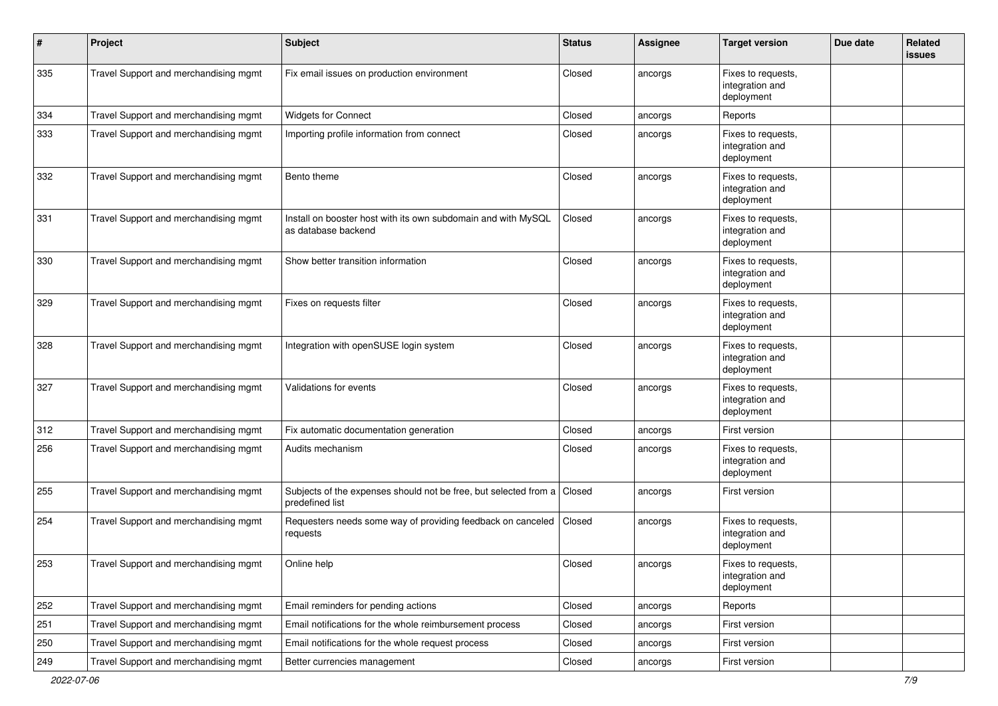| #   | Project                               | <b>Subject</b>                                                                       | <b>Status</b> | <b>Assignee</b> | <b>Target version</b>                               | Due date | Related<br>issues |
|-----|---------------------------------------|--------------------------------------------------------------------------------------|---------------|-----------------|-----------------------------------------------------|----------|-------------------|
| 335 | Travel Support and merchandising mgmt | Fix email issues on production environment                                           | Closed        | ancorgs         | Fixes to requests,<br>integration and<br>deployment |          |                   |
| 334 | Travel Support and merchandising mgmt | <b>Widgets for Connect</b>                                                           | Closed        | ancorgs         | Reports                                             |          |                   |
| 333 | Travel Support and merchandising mgmt | Importing profile information from connect                                           | Closed        | ancorgs         | Fixes to requests,<br>integration and<br>deployment |          |                   |
| 332 | Travel Support and merchandising mgmt | Bento theme                                                                          | Closed        | ancorgs         | Fixes to requests,<br>integration and<br>deployment |          |                   |
| 331 | Travel Support and merchandising mgmt | Install on booster host with its own subdomain and with MySQL<br>as database backend | Closed        | ancorgs         | Fixes to requests,<br>integration and<br>deployment |          |                   |
| 330 | Travel Support and merchandising mgmt | Show better transition information                                                   | Closed        | ancorgs         | Fixes to requests,<br>integration and<br>deployment |          |                   |
| 329 | Travel Support and merchandising mgmt | Fixes on requests filter                                                             | Closed        | ancorgs         | Fixes to requests,<br>integration and<br>deployment |          |                   |
| 328 | Travel Support and merchandising mgmt | Integration with openSUSE login system                                               | Closed        | ancorgs         | Fixes to requests.<br>integration and<br>deployment |          |                   |
| 327 | Travel Support and merchandising mgmt | Validations for events                                                               | Closed        | ancorgs         | Fixes to requests,<br>integration and<br>deployment |          |                   |
| 312 | Travel Support and merchandising mgmt | Fix automatic documentation generation                                               | Closed        | ancorgs         | First version                                       |          |                   |
| 256 | Travel Support and merchandising mgmt | Audits mechanism                                                                     | Closed        | ancorgs         | Fixes to requests,<br>integration and<br>deployment |          |                   |
| 255 | Travel Support and merchandising mgmt | Subjects of the expenses should not be free, but selected from a<br>predefined list  | Closed        | ancorgs         | First version                                       |          |                   |
| 254 | Travel Support and merchandising mgmt | Requesters needs some way of providing feedback on canceled<br>requests              | Closed        | ancorgs         | Fixes to requests,<br>integration and<br>deployment |          |                   |
| 253 | Travel Support and merchandising mgmt | Online help                                                                          | Closed        | ancorgs         | Fixes to requests,<br>integration and<br>deployment |          |                   |
| 252 | Travel Support and merchandising mgmt | Email reminders for pending actions                                                  | Closed        | ancorgs         | Reports                                             |          |                   |
| 251 | Travel Support and merchandising mgmt | Email notifications for the whole reimbursement process                              | Closed        | ancorgs         | First version                                       |          |                   |
| 250 | Travel Support and merchandising mgmt | Email notifications for the whole request process                                    | Closed        | ancorgs         | First version                                       |          |                   |
| 249 | Travel Support and merchandising mgmt | Better currencies management                                                         | Closed        | ancorgs         | First version                                       |          |                   |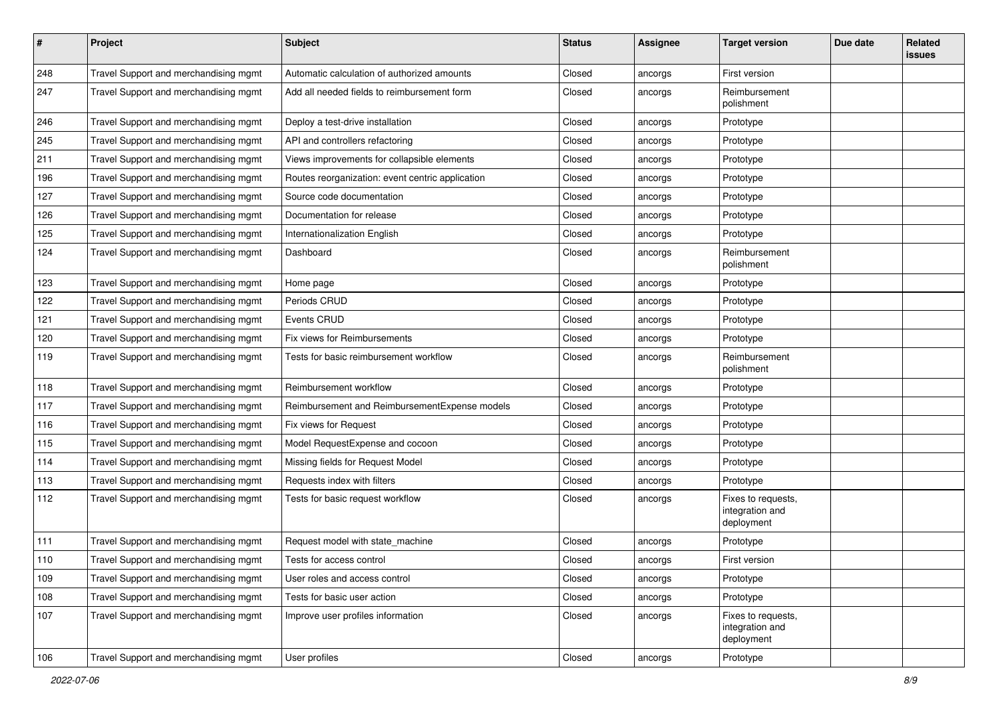| #   | Project                               | <b>Subject</b>                                   | <b>Status</b> | <b>Assignee</b> | <b>Target version</b>                               | Due date | Related<br>issues |
|-----|---------------------------------------|--------------------------------------------------|---------------|-----------------|-----------------------------------------------------|----------|-------------------|
| 248 | Travel Support and merchandising mgmt | Automatic calculation of authorized amounts      | Closed        | ancorgs         | First version                                       |          |                   |
| 247 | Travel Support and merchandising mgmt | Add all needed fields to reimbursement form      | Closed        | ancorgs         | Reimbursement<br>polishment                         |          |                   |
| 246 | Travel Support and merchandising mgmt | Deploy a test-drive installation                 | Closed        | ancorgs         | Prototype                                           |          |                   |
| 245 | Travel Support and merchandising mgmt | API and controllers refactoring                  | Closed        | ancorgs         | Prototype                                           |          |                   |
| 211 | Travel Support and merchandising mgmt | Views improvements for collapsible elements      | Closed        | ancorgs         | Prototype                                           |          |                   |
| 196 | Travel Support and merchandising mgmt | Routes reorganization: event centric application | Closed        | ancorgs         | Prototype                                           |          |                   |
| 127 | Travel Support and merchandising mgmt | Source code documentation                        | Closed        | ancorgs         | Prototype                                           |          |                   |
| 126 | Travel Support and merchandising mgmt | Documentation for release                        | Closed        | ancorgs         | Prototype                                           |          |                   |
| 125 | Travel Support and merchandising mgmt | Internationalization English                     | Closed        | ancorgs         | Prototype                                           |          |                   |
| 124 | Travel Support and merchandising mgmt | Dashboard                                        | Closed        | ancorgs         | Reimbursement<br>polishment                         |          |                   |
| 123 | Travel Support and merchandising mgmt | Home page                                        | Closed        | ancorgs         | Prototype                                           |          |                   |
| 122 | Travel Support and merchandising mgmt | Periods CRUD                                     | Closed        | ancorgs         | Prototype                                           |          |                   |
| 121 | Travel Support and merchandising mgmt | Events CRUD                                      | Closed        | ancorgs         | Prototype                                           |          |                   |
| 120 | Travel Support and merchandising mgmt | Fix views for Reimbursements                     | Closed        | ancorgs         | Prototype                                           |          |                   |
| 119 | Travel Support and merchandising mgmt | Tests for basic reimbursement workflow           | Closed        | ancorgs         | Reimbursement<br>polishment                         |          |                   |
| 118 | Travel Support and merchandising mgmt | Reimbursement workflow                           | Closed        | ancorgs         | Prototype                                           |          |                   |
| 117 | Travel Support and merchandising mgmt | Reimbursement and ReimbursementExpense models    | Closed        | ancorgs         | Prototype                                           |          |                   |
| 116 | Travel Support and merchandising mgmt | Fix views for Request                            | Closed        | ancorgs         | Prototype                                           |          |                   |
| 115 | Travel Support and merchandising mgmt | Model RequestExpense and cocoon                  | Closed        | ancorgs         | Prototype                                           |          |                   |
| 114 | Travel Support and merchandising mgmt | Missing fields for Request Model                 | Closed        | ancorgs         | Prototype                                           |          |                   |
| 113 | Travel Support and merchandising mgmt | Requests index with filters                      | Closed        | ancorgs         | Prototype                                           |          |                   |
| 112 | Travel Support and merchandising mgmt | Tests for basic request workflow                 | Closed        | ancorgs         | Fixes to requests,<br>integration and<br>deployment |          |                   |
| 111 | Travel Support and merchandising mgmt | Request model with state_machine                 | Closed        | ancorgs         | Prototype                                           |          |                   |
| 110 | Travel Support and merchandising mgmt | Tests for access control                         | Closed        | ancorgs         | First version                                       |          |                   |
| 109 | Travel Support and merchandising mgmt | User roles and access control                    | Closed        | ancorgs         | Prototype                                           |          |                   |
| 108 | Travel Support and merchandising mgmt | Tests for basic user action                      | Closed        | ancorgs         | Prototype                                           |          |                   |
| 107 | Travel Support and merchandising mgmt | Improve user profiles information                | Closed        | ancorgs         | Fixes to requests,<br>integration and<br>deployment |          |                   |
| 106 | Travel Support and merchandising mgmt | User profiles                                    | Closed        | ancorgs         | Prototype                                           |          |                   |